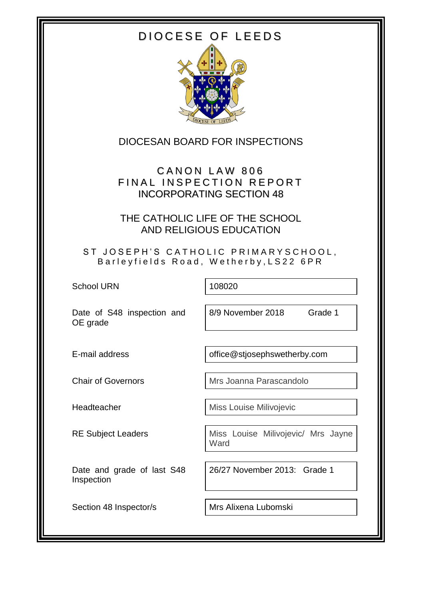# DIOCESE OF LEEDS



DIOCESAN BOARD FOR INSPECTIONS

CANON LAW 806 FINAL INSPECTION REPORT INCORPORATING SECTION 48

THE CATHOLIC LIFE OF THE SCHOOL AND RELIGIOUS EDUCATION

ST JOSEPH'S CATHOLIC PRIMARYSCHOOL, Barleyfields Road, Wetherby, LS22 6PR

School URN 108020

Date of S48 inspection and OE grade

8/9 November 2018 Grade 1

E-mail address **of a struck of the example office**@stjosephswetherby.com

Chair of Governors Mrs Joanna Parascandolo

Headteacher Miss Louise Milivojevic

Date and grade of last S48 Inspection

RE Subject Leaders **Nightlers** Miss Louise Milivojevic/ Mrs Jayne

**Ward** 

26/27 November 2013: Grade 1

Section 48 Inspector/s | Mrs Alixena Lubomski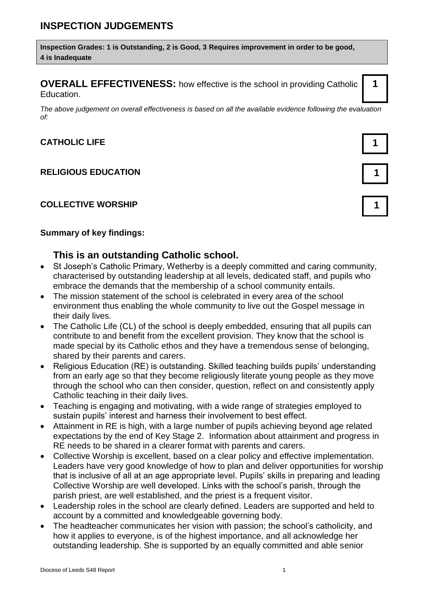**Inspection Grades: 1 is Outstanding, 2 is Good, 3 Requires improvement in order to be good, 4 is Inadequate**

**OVERALL EFFECTIVENESS:** how effective is the school in providing Catholic Education.

*The above judgement on overall effectiveness is based on all the available evidence following the evaluation of:*

### **CATHOLIC LIFE 1**

#### **RELIGIOUS EDUCATION 1**

#### **COLLECTIVE WORSHIP 1**

#### **Summary of key findings:**

#### **This is an outstanding Catholic school.**

- St Joseph's Catholic Primary, Wetherby is a deeply committed and caring community, characterised by outstanding leadership at all levels, dedicated staff, and pupils who embrace the demands that the membership of a school community entails.
- The mission statement of the school is celebrated in every area of the school environment thus enabling the whole community to live out the Gospel message in their daily lives.
- The Catholic Life (CL) of the school is deeply embedded, ensuring that all pupils can contribute to and benefit from the excellent provision. They know that the school is made special by its Catholic ethos and they have a tremendous sense of belonging, shared by their parents and carers.
- Religious Education (RE) is outstanding. Skilled teaching builds pupils' understanding from an early age so that they become religiously literate young people as they move through the school who can then consider, question, reflect on and consistently apply Catholic teaching in their daily lives.
- Teaching is engaging and motivating, with a wide range of strategies employed to sustain pupils' interest and harness their involvement to best effect.
- Attainment in RE is high, with a large number of pupils achieving beyond age related expectations by the end of Key Stage 2. Information about attainment and progress in RE needs to be shared in a clearer format with parents and carers.
- Collective Worship is excellent, based on a clear policy and effective implementation. Leaders have very good knowledge of how to plan and deliver opportunities for worship that is inclusive of all at an age appropriate level. Pupils' skills in preparing and leading Collective Worship are well developed. Links with the school's parish, through the parish priest, are well established, and the priest is a frequent visitor.
- Leadership roles in the school are clearly defined. Leaders are supported and held to account by a committed and knowledgeable governing body.
- The headteacher communicates her vision with passion; the school's catholicity, and how it applies to everyone, is of the highest importance, and all acknowledge her outstanding leadership. She is supported by an equally committed and able senior



**1**



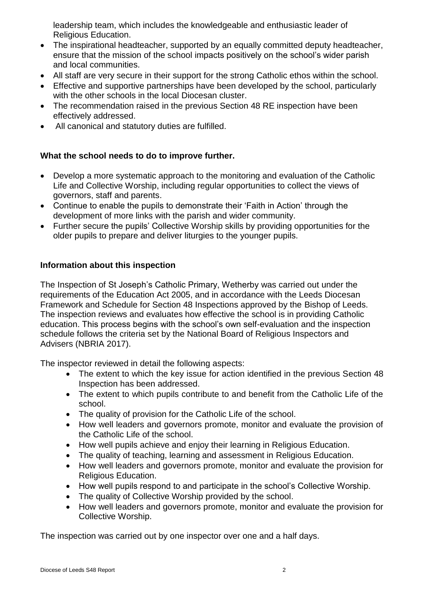leadership team, which includes the knowledgeable and enthusiastic leader of Religious Education.

- The inspirational headteacher, supported by an equally committed deputy headteacher, ensure that the mission of the school impacts positively on the school's wider parish and local communities.
- All staff are very secure in their support for the strong Catholic ethos within the school.
- Effective and supportive partnerships have been developed by the school, particularly with the other schools in the local Diocesan cluster.
- The recommendation raised in the previous Section 48 RE inspection have been effectively addressed.
- All canonical and statutory duties are fulfilled.

### **What the school needs to do to improve further.**

- Develop a more systematic approach to the monitoring and evaluation of the Catholic Life and Collective Worship, including regular opportunities to collect the views of governors, staff and parents.
- Continue to enable the pupils to demonstrate their 'Faith in Action' through the development of more links with the parish and wider community.
- Further secure the pupils' Collective Worship skills by providing opportunities for the older pupils to prepare and deliver liturgies to the younger pupils.

### **Information about this inspection**

The Inspection of St Joseph's Catholic Primary, Wetherby was carried out under the requirements of the Education Act 2005, and in accordance with the Leeds Diocesan Framework and Schedule for Section 48 Inspections approved by the Bishop of Leeds. The inspection reviews and evaluates how effective the school is in providing Catholic education. This process begins with the school's own self-evaluation and the inspection schedule follows the criteria set by the National Board of Religious Inspectors and Advisers (NBRIA 2017).

The inspector reviewed in detail the following aspects:

- The extent to which the key issue for action identified in the previous Section 48 Inspection has been addressed.
- The extent to which pupils contribute to and benefit from the Catholic Life of the school.
- The quality of provision for the Catholic Life of the school.
- How well leaders and governors promote, monitor and evaluate the provision of the Catholic Life of the school.
- How well pupils achieve and enjoy their learning in Religious Education.
- The quality of teaching, learning and assessment in Religious Education.
- How well leaders and governors promote, monitor and evaluate the provision for Religious Education.
- How well pupils respond to and participate in the school's Collective Worship.
- The quality of Collective Worship provided by the school.
- How well leaders and governors promote, monitor and evaluate the provision for Collective Worship.

The inspection was carried out by one inspector over one and a half days.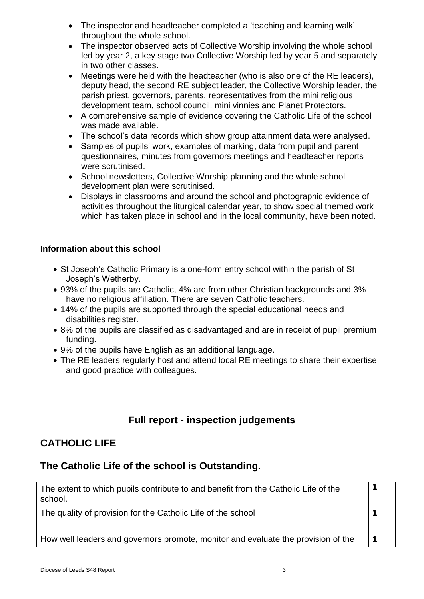- The inspector and headteacher completed a 'teaching and learning walk' throughout the whole school.
- The inspector observed acts of Collective Worship involving the whole school led by year 2, a key stage two Collective Worship led by year 5 and separately in two other classes.
- Meetings were held with the headteacher (who is also one of the RE leaders), deputy head, the second RE subject leader, the Collective Worship leader, the parish priest, governors, parents, representatives from the mini religious development team, school council, mini vinnies and Planet Protectors.
- A comprehensive sample of evidence covering the Catholic Life of the school was made available.
- The school's data records which show group attainment data were analysed.
- Samples of pupils' work, examples of marking, data from pupil and parent questionnaires, minutes from governors meetings and headteacher reports were scrutinised.
- School newsletters, Collective Worship planning and the whole school development plan were scrutinised.
- Displays in classrooms and around the school and photographic evidence of activities throughout the liturgical calendar year, to show special themed work which has taken place in school and in the local community, have been noted.

### **Information about this school**

- St Joseph's Catholic Primary is a one-form entry school within the parish of St Joseph's Wetherby.
- 93% of the pupils are Catholic, 4% are from other Christian backgrounds and 3% have no religious affiliation. There are seven Catholic teachers.
- 14% of the pupils are supported through the special educational needs and disabilities register.
- 8% of the pupils are classified as disadvantaged and are in receipt of pupil premium funding.
- 9% of the pupils have English as an additional language.
- The RE leaders regularly host and attend local RE meetings to share their expertise and good practice with colleagues.

# **Full report - inspection judgements**

# **CATHOLIC LIFE**

### **The Catholic Life of the school is Outstanding.**

| The extent to which pupils contribute to and benefit from the Catholic Life of the<br>school. |  |
|-----------------------------------------------------------------------------------------------|--|
| The quality of provision for the Catholic Life of the school                                  |  |
| How well leaders and governors promote, monitor and evaluate the provision of the             |  |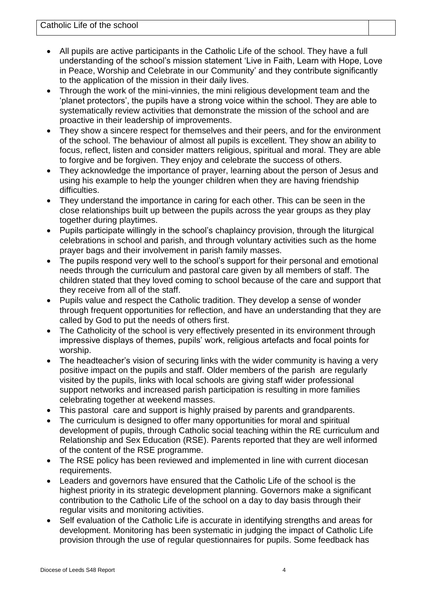- All pupils are active participants in the Catholic Life of the school. They have a full understanding of the school's mission statement 'Live in Faith, Learn with Hope, Love in Peace, Worship and Celebrate in our Community' and they contribute significantly to the application of the mission in their daily lives.
- Through the work of the mini-vinnies, the mini religious development team and the 'planet protectors', the pupils have a strong voice within the school. They are able to systematically review activities that demonstrate the mission of the school and are proactive in their leadership of improvements.
- They show a sincere respect for themselves and their peers, and for the environment of the school. The behaviour of almost all pupils is excellent. They show an ability to focus, reflect, listen and consider matters religious, spiritual and moral. They are able to forgive and be forgiven. They enjoy and celebrate the success of others.
- They acknowledge the importance of prayer, learning about the person of Jesus and using his example to help the younger children when they are having friendship difficulties.
- They understand the importance in caring for each other. This can be seen in the close relationships built up between the pupils across the year groups as they play together during playtimes.
- Pupils participate willingly in the school's chaplaincy provision, through the liturgical celebrations in school and parish, and through voluntary activities such as the home prayer bags and their involvement in parish family masses.
- The pupils respond very well to the school's support for their personal and emotional needs through the curriculum and pastoral care given by all members of staff. The children stated that they loved coming to school because of the care and support that they receive from all of the staff.
- Pupils value and respect the Catholic tradition. They develop a sense of wonder through frequent opportunities for reflection, and have an understanding that they are called by God to put the needs of others first.
- The Catholicity of the school is very effectively presented in its environment through impressive displays of themes, pupils' work, religious artefacts and focal points for worship.
- The headteacher's vision of securing links with the wider community is having a very positive impact on the pupils and staff. Older members of the parish are regularly visited by the pupils, links with local schools are giving staff wider professional support networks and increased parish participation is resulting in more families celebrating together at weekend masses.
- This pastoral care and support is highly praised by parents and grandparents.
- The curriculum is designed to offer many opportunities for moral and spiritual development of pupils, through Catholic social teaching within the RE curriculum and Relationship and Sex Education (RSE). Parents reported that they are well informed of the content of the RSE programme.
- The RSE policy has been reviewed and implemented in line with current diocesan requirements.
- Leaders and governors have ensured that the Catholic Life of the school is the highest priority in its strategic development planning. Governors make a significant contribution to the Catholic Life of the school on a day to day basis through their regular visits and monitoring activities.
- Self evaluation of the Catholic Life is accurate in identifying strengths and areas for development. Monitoring has been systematic in judging the impact of Catholic Life provision through the use of regular questionnaires for pupils. Some feedback has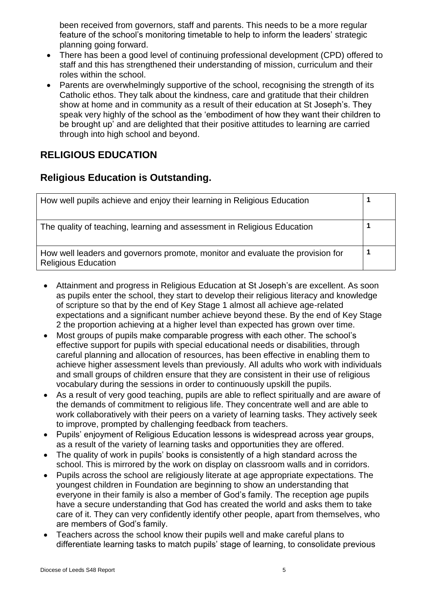been received from governors, staff and parents. This needs to be a more regular feature of the school's monitoring timetable to help to inform the leaders' strategic planning going forward.

- There has been a good level of continuing professional development (CPD) offered to staff and this has strengthened their understanding of mission, curriculum and their roles within the school.
- Parents are overwhelmingly supportive of the school, recognising the strength of its Catholic ethos. They talk about the kindness, care and gratitude that their children show at home and in community as a result of their education at St Joseph's. They speak very highly of the school as the 'embodiment of how they want their children to be brought up' and are delighted that their positive attitudes to learning are carried through into high school and beyond.

# **RELIGIOUS EDUCATION**

## **Religious Education is Outstanding.**

| How well pupils achieve and enjoy their learning in Religious Education                                      |  |
|--------------------------------------------------------------------------------------------------------------|--|
| The quality of teaching, learning and assessment in Religious Education                                      |  |
| How well leaders and governors promote, monitor and evaluate the provision for<br><b>Religious Education</b> |  |

- Attainment and progress in Religious Education at St Joseph's are excellent. As soon as pupils enter the school, they start to develop their religious literacy and knowledge of scripture so that by the end of Key Stage 1 almost all achieve age-related expectations and a significant number achieve beyond these. By the end of Key Stage 2 the proportion achieving at a higher level than expected has grown over time.
- Most groups of pupils make comparable progress with each other. The school's effective support for pupils with special educational needs or disabilities, through careful planning and allocation of resources, has been effective in enabling them to achieve higher assessment levels than previously. All adults who work with individuals and small groups of children ensure that they are consistent in their use of religious vocabulary during the sessions in order to continuously upskill the pupils.
- As a result of very good teaching, pupils are able to reflect spiritually and are aware of the demands of commitment to religious life. They concentrate well and are able to work collaboratively with their peers on a variety of learning tasks. They actively seek to improve, prompted by challenging feedback from teachers.
- Pupils' enjoyment of Religious Education lessons is widespread across year groups, as a result of the variety of learning tasks and opportunities they are offered.
- The quality of work in pupils' books is consistently of a high standard across the school. This is mirrored by the work on display on classroom walls and in corridors.
- Pupils across the school are religiously literate at age appropriate expectations. The youngest children in Foundation are beginning to show an understanding that everyone in their family is also a member of God's family. The reception age pupils have a secure understanding that God has created the world and asks them to take care of it. They can very confidently identify other people, apart from themselves, who are members of God's family.
- Teachers across the school know their pupils well and make careful plans to differentiate learning tasks to match pupils' stage of learning, to consolidate previous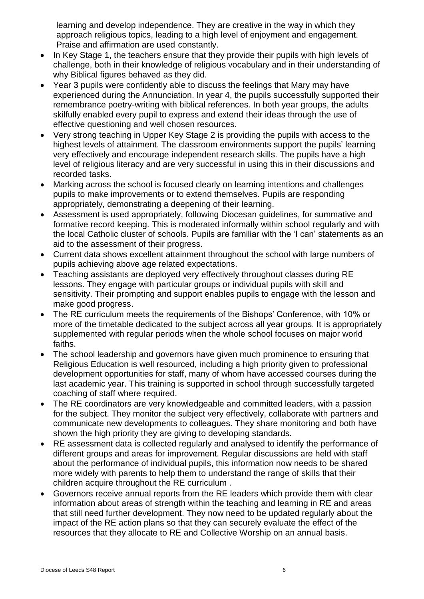learning and develop independence. They are creative in the way in which they approach religious topics, leading to a high level of enjoyment and engagement. Praise and affirmation are used constantly.

- In Key Stage 1, the teachers ensure that they provide their pupils with high levels of challenge, both in their knowledge of religious vocabulary and in their understanding of why Biblical figures behaved as they did.
- Year 3 pupils were confidently able to discuss the feelings that Mary may have experienced during the Annunciation. In year 4, the pupils successfully supported their remembrance poetry-writing with biblical references. In both year groups, the adults skilfully enabled every pupil to express and extend their ideas through the use of effective questioning and well chosen resources.
- Very strong teaching in Upper Key Stage 2 is providing the pupils with access to the highest levels of attainment. The classroom environments support the pupils' learning very effectively and encourage independent research skills. The pupils have a high level of religious literacy and are very successful in using this in their discussions and recorded tasks.
- Marking across the school is focused clearly on learning intentions and challenges pupils to make improvements or to extend themselves. Pupils are responding appropriately, demonstrating a deepening of their learning.
- Assessment is used appropriately, following Diocesan guidelines, for summative and formative record keeping. This is moderated informally within school regularly and with the local Catholic cluster of schools. Pupils are familiar with the 'I can' statements as an aid to the assessment of their progress.
- Current data shows excellent attainment throughout the school with large numbers of pupils achieving above age related expectations.
- Teaching assistants are deployed very effectively throughout classes during RE lessons. They engage with particular groups or individual pupils with skill and sensitivity. Their prompting and support enables pupils to engage with the lesson and make good progress.
- The RE curriculum meets the requirements of the Bishops' Conference, with 10% or more of the timetable dedicated to the subject across all year groups. It is appropriately supplemented with regular periods when the whole school focuses on major world faiths.
- The school leadership and governors have given much prominence to ensuring that Religious Education is well resourced, including a high priority given to professional development opportunities for staff, many of whom have accessed courses during the last academic year. This training is supported in school through successfully targeted coaching of staff where required.
- The RE coordinators are very knowledgeable and committed leaders, with a passion for the subject. They monitor the subject very effectively, collaborate with partners and communicate new developments to colleagues. They share monitoring and both have shown the high priority they are giving to developing standards.
- RE assessment data is collected regularly and analysed to identify the performance of different groups and areas for improvement. Regular discussions are held with staff about the performance of individual pupils, this information now needs to be shared more widely with parents to help them to understand the range of skills that their children acquire throughout the RE curriculum .
- Governors receive annual reports from the RE leaders which provide them with clear information about areas of strength within the teaching and learning in RE and areas that still need further development. They now need to be updated regularly about the impact of the RE action plans so that they can securely evaluate the effect of the resources that they allocate to RE and Collective Worship on an annual basis.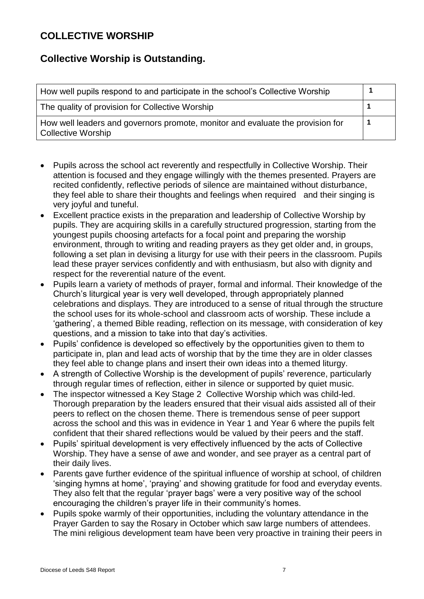### **COLLECTIVE WORSHIP**

## **Collective Worship is Outstanding.**

| How well pupils respond to and participate in the school's Collective Worship                               |  |
|-------------------------------------------------------------------------------------------------------------|--|
| The quality of provision for Collective Worship                                                             |  |
| How well leaders and governors promote, monitor and evaluate the provision for<br><b>Collective Worship</b> |  |

- Pupils across the school act reverently and respectfully in Collective Worship. Their attention is focused and they engage willingly with the themes presented. Prayers are recited confidently, reflective periods of silence are maintained without disturbance, they feel able to share their thoughts and feelings when required and their singing is very joyful and tuneful.
- Excellent practice exists in the preparation and leadership of Collective Worship by pupils. They are acquiring skills in a carefully structured progression, starting from the youngest pupils choosing artefacts for a focal point and preparing the worship environment, through to writing and reading prayers as they get older and, in groups, following a set plan in devising a liturgy for use with their peers in the classroom. Pupils lead these prayer services confidently and with enthusiasm, but also with dignity and respect for the reverential nature of the event.
- Pupils learn a variety of methods of prayer, formal and informal. Their knowledge of the Church's liturgical year is very well developed, through appropriately planned celebrations and displays. They are introduced to a sense of ritual through the structure the school uses for its whole-school and classroom acts of worship. These include a 'gathering', a themed Bible reading, reflection on its message, with consideration of key questions, and a mission to take into that day's activities.
- Pupils' confidence is developed so effectively by the opportunities given to them to participate in, plan and lead acts of worship that by the time they are in older classes they feel able to change plans and insert their own ideas into a themed liturgy.
- A strength of Collective Worship is the development of pupils' reverence, particularly through regular times of reflection, either in silence or supported by quiet music.
- The inspector witnessed a Key Stage 2 Collective Worship which was child-led. Thorough preparation by the leaders ensured that their visual aids assisted all of their peers to reflect on the chosen theme. There is tremendous sense of peer support across the school and this was in evidence in Year 1 and Year 6 where the pupils felt confident that their shared reflections would be valued by their peers and the staff.
- Pupils' spiritual development is very effectively influenced by the acts of Collective Worship. They have a sense of awe and wonder, and see prayer as a central part of their daily lives.
- Parents gave further evidence of the spiritual influence of worship at school, of children 'singing hymns at home', 'praying' and showing gratitude for food and everyday events. They also felt that the regular 'prayer bags' were a very positive way of the school encouraging the children's prayer life in their community's homes.
- Pupils spoke warmly of their opportunities, including the voluntary attendance in the Prayer Garden to say the Rosary in October which saw large numbers of attendees. The mini religious development team have been very proactive in training their peers in